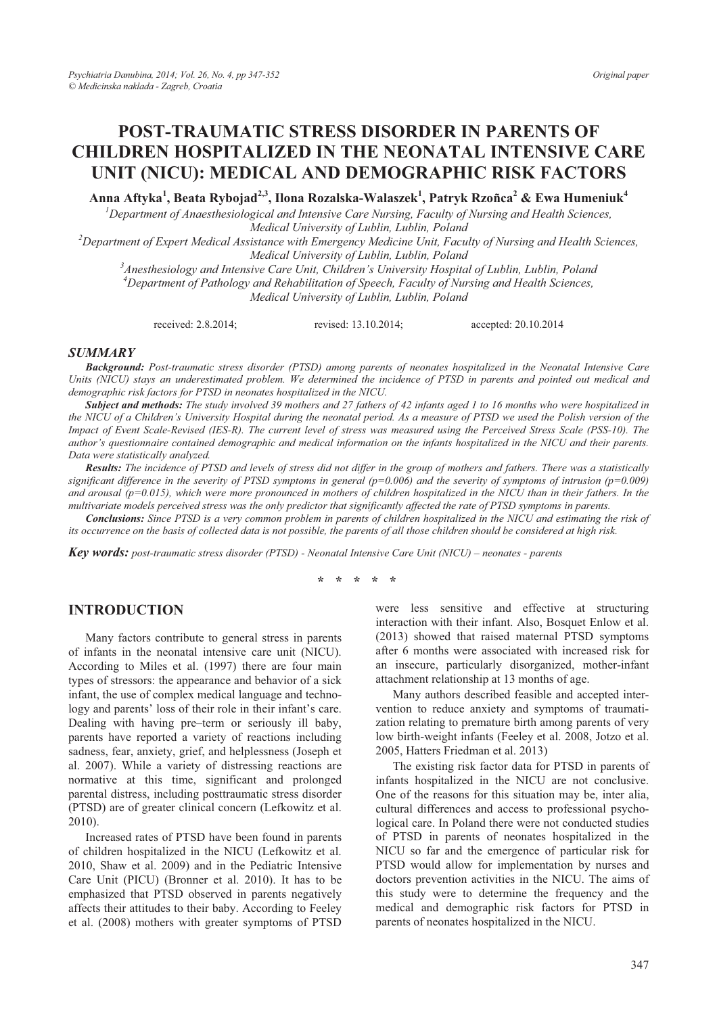# **POST-TRAUMATIC STRESS DISORDER IN PARENTS OF CHILDREN HOSPITALIZED IN THE NEONATAL INTENSIVE CARE UNIT (NICU): MEDICAL AND DEMOGRAPHIC RISK FACTORS**

**Anna Aftyka1 , Beata Rybojad2,3, Ilona Rozalska-Walaszek1 , Patryk Rzoñca2 & Ewa Humeniuk4**

*1 Department of Anaesthesiological and Intensive Care Nursing, Faculty of Nursing and Health Sciences,* 

*Medical University of Lublin, Lublin, Poland*<br><sup>2</sup> Department of Expert Medical Assistance with Emergency Medicine Unit, Faculty of Nursing and Health Sciences, *Medical University of Lublin, Lublin, Poland*<br><sup>3</sup> Anesthesiology and Intensive Care Unit Children's University Hespital

*Anesthesiology and Intensive Care Unit, Children's University Hospital of Lublin, Lublin, Poland 4 Department of Pathology and Rehabilitation of Speech, Faculty of Nursing and Health Sciences, Medical University of Lublin, Lublin, Poland* 

received: 2.8.2014; revised: 13.10.2014; accepted: 20.10.2014

#### *SUMMARY*

*Background: Post-traumatic stress disorder (PTSD) among parents of neonates hospitalized in the Neonatal Intensive Care Units (NICU) stays an underestimated problem. We determined the incidence of PTSD in parents and pointed out medical and demographic risk factors for PTSD in neonates hospitalized in the NICU.* 

*Subject and methods: The study involved 39 mothers and 27 fathers of 42 infants aged 1 to 16 months who were hospitalized in the NICU of a Children's University Hospital during the neonatal period. As a measure of PTSD we used the Polish version of the Impact of Event Scale-Revised (IES-R). The current level of stress was measured using the Perceived Stress Scale (PSS-10). The author's questionnaire contained demographic and medical information on the infants hospitalized in the NICU and their parents. Data were statistically analyzed.* 

*Results: The incidence of PTSD and levels of stress did not differ in the group of mothers and fathers. There was a statistically significant difference in the severity of PTSD symptoms in general (p=0.006) and the severity of symptoms of intrusion (p=0.009) and arousal (p=0.015), which were more pronounced in mothers of children hospitalized in the NICU than in their fathers. In the multivariate models perceived stress was the only predictor that significantly affected the rate of PTSD symptoms in parents.* 

*Conclusions: Since PTSD is a very common problem in parents of children hospitalized in the NICU and estimating the risk of its occurrence on the basis of collected data is not possible, the parents of all those children should be considered at high risk.* 

*Key words: post-traumatic stress disorder (PTSD) - Neonatal Intensive Care Unit (NICU) – neonates - parents* 

**\* \* \* \* \*** 

### **INTRODUCTION**

Many factors contribute to general stress in parents of infants in the neonatal intensive care unit (NICU). According to Miles et al. (1997) there are four main types of stressors: the appearance and behavior of a sick infant, the use of complex medical language and technology and parents' loss of their role in their infant's care. Dealing with having pre–term or seriously ill baby, parents have reported a variety of reactions including sadness, fear, anxiety, grief, and helplessness (Joseph et al. 2007). While a variety of distressing reactions are normative at this time, significant and prolonged parental distress, including posttraumatic stress disorder (PTSD) are of greater clinical concern (Lefkowitz et al. 2010).

Increased rates of PTSD have been found in parents of children hospitalized in the NICU (Lefkowitz et al. 2010, Shaw et al. 2009) and in the Pediatric Intensive Care Unit (PICU) (Bronner et al. 2010). It has to be emphasized that PTSD observed in parents negatively affects their attitudes to their baby. According to Feeley et al. (2008) mothers with greater symptoms of PTSD

were less sensitive and effective at structuring interaction with their infant. Also, Bosquet Enlow et al. (2013) showed that raised maternal PTSD symptoms after 6 months were associated with increased risk for an insecure, particularly disorganized, mother-infant attachment relationship at 13 months of age.

Many authors described feasible and accepted intervention to reduce anxiety and symptoms of traumatization relating to premature birth among parents of very low birth-weight infants (Feeley et al. 2008, Jotzo et al. 2005, Hatters Friedman et al. 2013)

The existing risk factor data for PTSD in parents of infants hospitalized in the NICU are not conclusive. One of the reasons for this situation may be, inter alia, cultural differences and access to professional psychological care. In Poland there were not conducted studies of PTSD in parents of neonates hospitalized in the NICU so far and the emergence of particular risk for PTSD would allow for implementation by nurses and doctors prevention activities in the NICU. The aims of this study were to determine the frequency and the medical and demographic risk factors for PTSD in parents of neonates hospitalized in the NICU.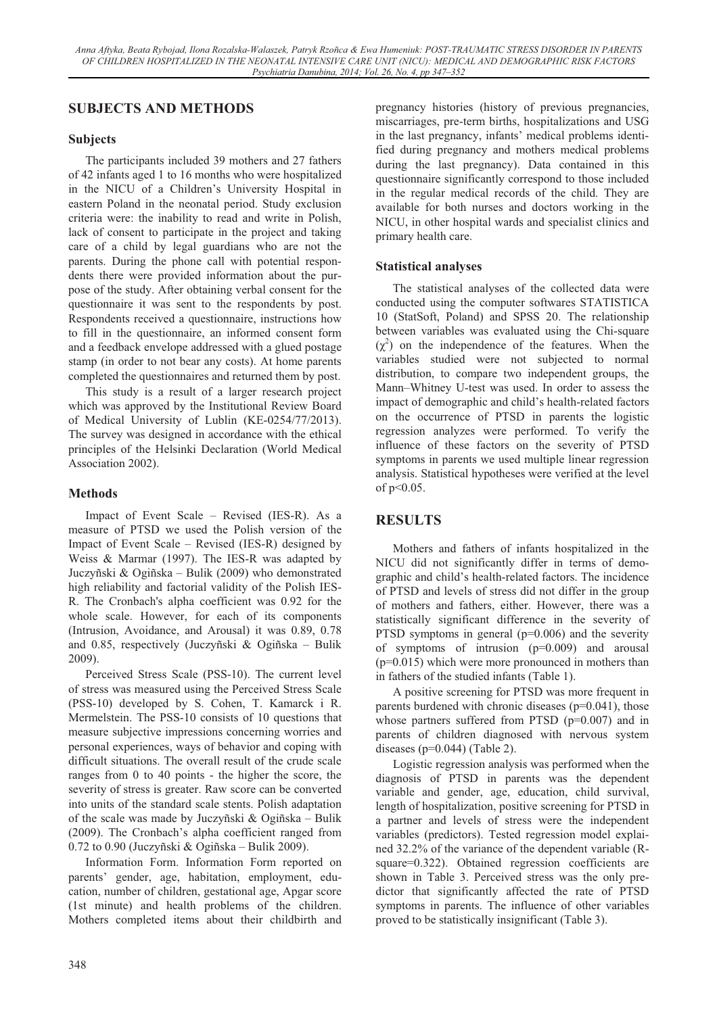# **SUBJECTS AND METHODS**

### **Subjects**

The participants included 39 mothers and 27 fathers of 42 infants aged 1 to 16 months who were hospitalized in the NICU of a Children's University Hospital in eastern Poland in the neonatal period. Study exclusion criteria were: the inability to read and write in Polish, lack of consent to participate in the project and taking care of a child by legal guardians who are not the parents. During the phone call with potential respondents there were provided information about the purpose of the study. After obtaining verbal consent for the questionnaire it was sent to the respondents by post. Respondents received a questionnaire, instructions how to fill in the questionnaire, an informed consent form and a feedback envelope addressed with a glued postage stamp (in order to not bear any costs). At home parents completed the questionnaires and returned them by post.

This study is a result of a larger research project which was approved by the Institutional Review Board of Medical University of Lublin (KE-0254/77/2013). The survey was designed in accordance with the ethical principles of the Helsinki Declaration (World Medical Association 2002).

### **Methods**

Impact of Event Scale – Revised (IES-R). As a measure of PTSD we used the Polish version of the Impact of Event Scale – Revised (IES-R) designed by Weiss & Marmar (1997). The IES-R was adapted by Juczyñski & Ogiñska – Bulik (2009) who demonstrated high reliability and factorial validity of the Polish IES-R. The Cronbach's alpha coefficient was 0.92 for the whole scale. However, for each of its components (Intrusion, Avoidance, and Arousal) it was 0.89, 0.78 and 0.85, respectively (Juczyñski & Ogiñska – Bulik 2009).

Perceived Stress Scale (PSS-10). The current level of stress was measured using the Perceived Stress Scale (PSS-10) developed by S. Cohen, T. Kamarck i R. Mermelstein. The PSS-10 consists of 10 questions that measure subjective impressions concerning worries and personal experiences, ways of behavior and coping with difficult situations. The overall result of the crude scale ranges from 0 to 40 points - the higher the score, the severity of stress is greater. Raw score can be converted into units of the standard scale stents. Polish adaptation of the scale was made by Juczyñski & Ogiñska – Bulik (2009). The Cronbach's alpha coefficient ranged from 0.72 to 0.90 (Juczyñski & Ogiñska – Bulik 2009).

Information Form. Information Form reported on parents' gender, age, habitation, employment, education, number of children, gestational age, Apgar score (1st minute) and health problems of the children. Mothers completed items about their childbirth and

pregnancy histories (history of previous pregnancies, miscarriages, pre-term births, hospitalizations and USG in the last pregnancy, infants' medical problems identified during pregnancy and mothers medical problems during the last pregnancy). Data contained in this questionnaire significantly correspond to those included in the regular medical records of the child. They are available for both nurses and doctors working in the NICU, in other hospital wards and specialist clinics and primary health care.

### **Statistical analyses**

The statistical analyses of the collected data were conducted using the computer softwares STATISTICA 10 (StatSoft, Poland) and SPSS 20. The relationship between variables was evaluated using the Chi-square  $(\chi^2)$  on the independence of the features. When the variables studied were not subjected to normal distribution, to compare two independent groups, the Mann–Whitney U-test was used. In order to assess the impact of demographic and child's health-related factors on the occurrence of PTSD in parents the logistic regression analyzes were performed. To verify the influence of these factors on the severity of PTSD symptoms in parents we used multiple linear regression analysis. Statistical hypotheses were verified at the level of p<0.05.

# **RESULTS**

Mothers and fathers of infants hospitalized in the NICU did not significantly differ in terms of demographic and child's health-related factors. The incidence of PTSD and levels of stress did not differ in the group of mothers and fathers, either. However, there was a statistically significant difference in the severity of PTSD symptoms in general  $(p=0.006)$  and the severity of symptoms of intrusion (p=0.009) and arousal (p=0.015) which were more pronounced in mothers than in fathers of the studied infants (Table 1).

A positive screening for PTSD was more frequent in parents burdened with chronic diseases  $(p=0.041)$ , those whose partners suffered from PTSD  $(p=0.007)$  and in parents of children diagnosed with nervous system diseases ( $p=0.044$ ) (Table 2).

Logistic regression analysis was performed when the diagnosis of PTSD in parents was the dependent variable and gender, age, education, child survival, length of hospitalization, positive screening for PTSD in a partner and levels of stress were the independent variables (predictors). Tested regression model explained 32.2% of the variance of the dependent variable (Rsquare=0.322). Obtained regression coefficients are shown in Table 3. Perceived stress was the only predictor that significantly affected the rate of PTSD symptoms in parents. The influence of other variables proved to be statistically insignificant (Table 3).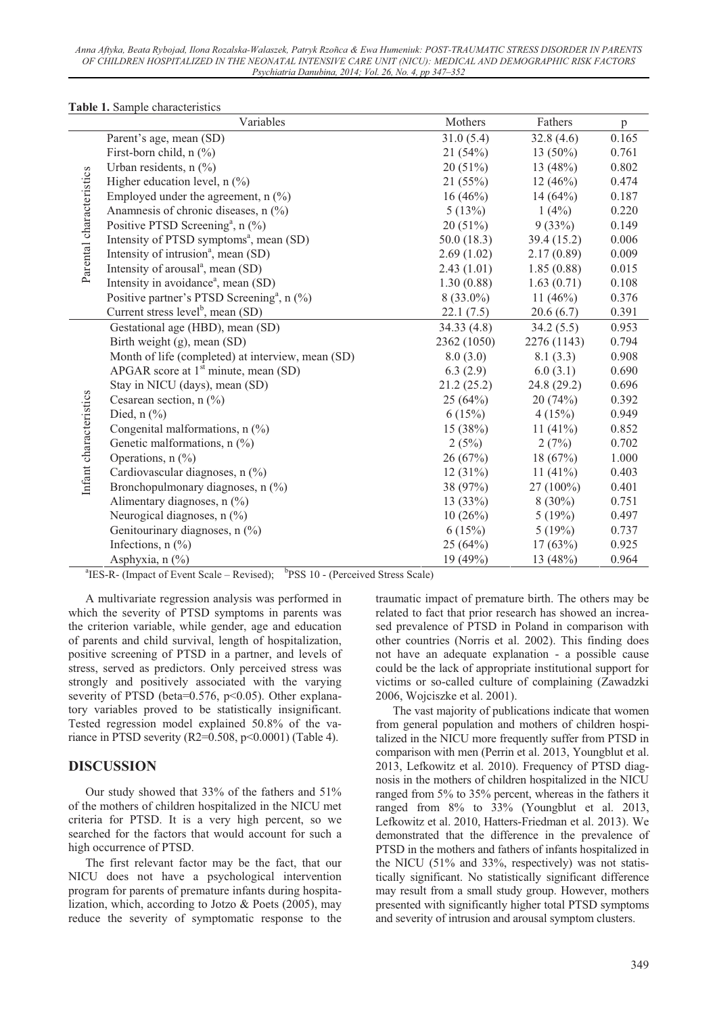*Anna Aftyka, Beata Rybojad, Ilona Rozalska-Walaszek, Patryk Rzoñca & Ewa Humeniuk: POST-TRAUMATIC STRESS DISORDER IN PARENTS OF CHILDREN HOSPITALIZED IN THE NEONATAL INTENSIVE CARE UNIT (NICU): MEDICAL AND DEMOGRAPHIC RISK FACTORS Psychiatria Danubina, 2014; Vol. 26, No. 4, pp 347–352* 

|                          | Variables                                                                                                | Mothers     | Fathers     | p     |  |  |  |  |
|--------------------------|----------------------------------------------------------------------------------------------------------|-------------|-------------|-------|--|--|--|--|
|                          | Parent's age, mean (SD)                                                                                  | 31.0(5.4)   | 32.8(4.6)   | 0.165 |  |  |  |  |
| Parental characteristics | First-born child, n (%)                                                                                  | 21(54%)     | 13 $(50\%)$ | 0.761 |  |  |  |  |
|                          | Urban residents, n (%)                                                                                   | 20 (51%)    | 13 (48%)    | 0.802 |  |  |  |  |
|                          | Higher education level, $n$ (%)                                                                          | 21(55%)     | 12(46%)     | 0.474 |  |  |  |  |
|                          | Employed under the agreement, $n$ (%)                                                                    | $16(46\%)$  | 14 $(64%)$  | 0.187 |  |  |  |  |
|                          | Anamnesis of chronic diseases, n (%)                                                                     | 5(13%)      | 1(4%)       | 0.220 |  |  |  |  |
|                          | Positive PTSD Screening <sup>a</sup> , n (%)                                                             | 20(51%)     | 9(33%)      | 0.149 |  |  |  |  |
|                          | Intensity of PTSD symptoms <sup>a</sup> , mean (SD)                                                      | 50.0(18.3)  | 39.4 (15.2) | 0.006 |  |  |  |  |
|                          | Intensity of intrusion <sup>a</sup> , mean (SD)                                                          | 2.69(1.02)  | 2.17(0.89)  | 0.009 |  |  |  |  |
|                          | Intensity of arousal <sup>a</sup> , mean (SD)                                                            | 2.43(1.01)  | 1.85(0.88)  | 0.015 |  |  |  |  |
|                          | Intensity in avoidance <sup>a</sup> , mean (SD)                                                          | 1.30(0.88)  | 1.63(0.71)  | 0.108 |  |  |  |  |
|                          | Positive partner's PTSD Screening <sup>a</sup> , n (%)                                                   | $8(33.0\%)$ | 11 $(46%)$  | 0.376 |  |  |  |  |
|                          | Current stress level <sup>b</sup> , mean $(SD)$                                                          | 22.1(7.5)   | 20.6(6.7)   | 0.391 |  |  |  |  |
|                          | Gestational age (HBD), mean (SD)                                                                         | 34.33(4.8)  | 34.2(5.5)   | 0.953 |  |  |  |  |
|                          | Birth weight (g), mean (SD)                                                                              | 2362 (1050) | 2276 (1143) | 0.794 |  |  |  |  |
|                          | Month of life (completed) at interview, mean (SD)                                                        | 8.0(3.0)    | 8.1(3.3)    | 0.908 |  |  |  |  |
|                          | APGAR score at $1st$ minute, mean (SD)                                                                   | 6.3(2.9)    | 6.0(3.1)    | 0.690 |  |  |  |  |
|                          | Stay in NICU (days), mean (SD)                                                                           | 21.2(25.2)  | 24.8 (29.2) | 0.696 |  |  |  |  |
|                          | Cesarean section, $n$ (%)                                                                                | 25(64%)     | 20(74%)     | 0.392 |  |  |  |  |
|                          | Died, $n$ $\left(\frac{9}{6}\right)$                                                                     | 6(15%)      | 4(15%)      | 0.949 |  |  |  |  |
|                          | Congenital malformations, $n$ (%)                                                                        | 15 (38%)    | 11 $(41%)$  | 0.852 |  |  |  |  |
| Infant characteristics   | Genetic malformations, $n$ (%)                                                                           | 2(5%)       | 2(7%)       | 0.702 |  |  |  |  |
|                          | Operations, $n$ (%)                                                                                      | 26(67%)     | 18(67%)     | 1.000 |  |  |  |  |
|                          | Cardiovascular diagnoses, n (%)                                                                          | 12(31%)     | 11 $(41\%)$ | 0.403 |  |  |  |  |
|                          | Bronchopulmonary diagnoses, n (%)                                                                        | 38 (97%)    | $27(100\%)$ | 0.401 |  |  |  |  |
|                          | Alimentary diagnoses, n (%)                                                                              | 13(33%)     | $8(30\%)$   | 0.751 |  |  |  |  |
|                          | Neurogical diagnoses, n (%)                                                                              | 10(26%)     | 5(19%)      | 0.497 |  |  |  |  |
|                          | Genitourinary diagnoses, n (%)                                                                           | 6(15%)      | 5(19%)      | 0.737 |  |  |  |  |
|                          | Infections, $n$ $\left(\frac{9}{0}\right)$                                                               | 25(64%)     | 17(63%)     | 0.925 |  |  |  |  |
|                          | Asphyxia, n (%)                                                                                          | 19 (49%)    | 13 (48%)    | 0.964 |  |  |  |  |
|                          | <sup>b</sup> PSS 10 - (Perceived Stress Scale)<br><sup>a</sup> IES-R- (Impact of Event Scale – Revised); |             |             |       |  |  |  |  |

**Table 1.** Sample characteristics

A multivariate regression analysis was performed in which the severity of PTSD symptoms in parents was the criterion variable, while gender, age and education of parents and child survival, length of hospitalization, positive screening of PTSD in a partner, and levels of stress, served as predictors. Only perceived stress was strongly and positively associated with the varying severity of PTSD (beta= $0.576$ , p< $0.05$ ). Other explanatory variables proved to be statistically insignificant. Tested regression model explained 50.8% of the variance in PTSD severity (R2=0.508, p<0.0001) (Table 4).

### **DISCUSSION**

Our study showed that 33% of the fathers and 51% of the mothers of children hospitalized in the NICU met criteria for PTSD. It is a very high percent, so we searched for the factors that would account for such a high occurrence of PTSD.

The first relevant factor may be the fact, that our NICU does not have a psychological intervention program for parents of premature infants during hospitalization, which, according to Jotzo & Poets (2005), may reduce the severity of symptomatic response to the

traumatic impact of premature birth. The others may be related to fact that prior research has showed an increased prevalence of PTSD in Poland in comparison with other countries (Norris et al. 2002). This finding does not have an adequate explanation - a possible cause could be the lack of appropriate institutional support for victims or so-called culture of complaining (Zawadzki 2006, Wojciszke et al. 2001).

The vast majority of publications indicate that women from general population and mothers of children hospitalized in the NICU more frequently suffer from PTSD in comparison with men (Perrin et al. 2013, Youngblut et al. 2013, Lefkowitz et al. 2010). Frequency of PTSD diagnosis in the mothers of children hospitalized in the NICU ranged from 5% to 35% percent, whereas in the fathers it ranged from 8% to 33% (Youngblut et al. 2013, Lefkowitz et al. 2010, Hatters-Friedman et al. 2013). We demonstrated that the difference in the prevalence of PTSD in the mothers and fathers of infants hospitalized in the NICU (51% and 33%, respectively) was not statistically significant. No statistically significant difference may result from a small study group. However, mothers presented with significantly higher total PTSD symptoms and severity of intrusion and arousal symptom clusters.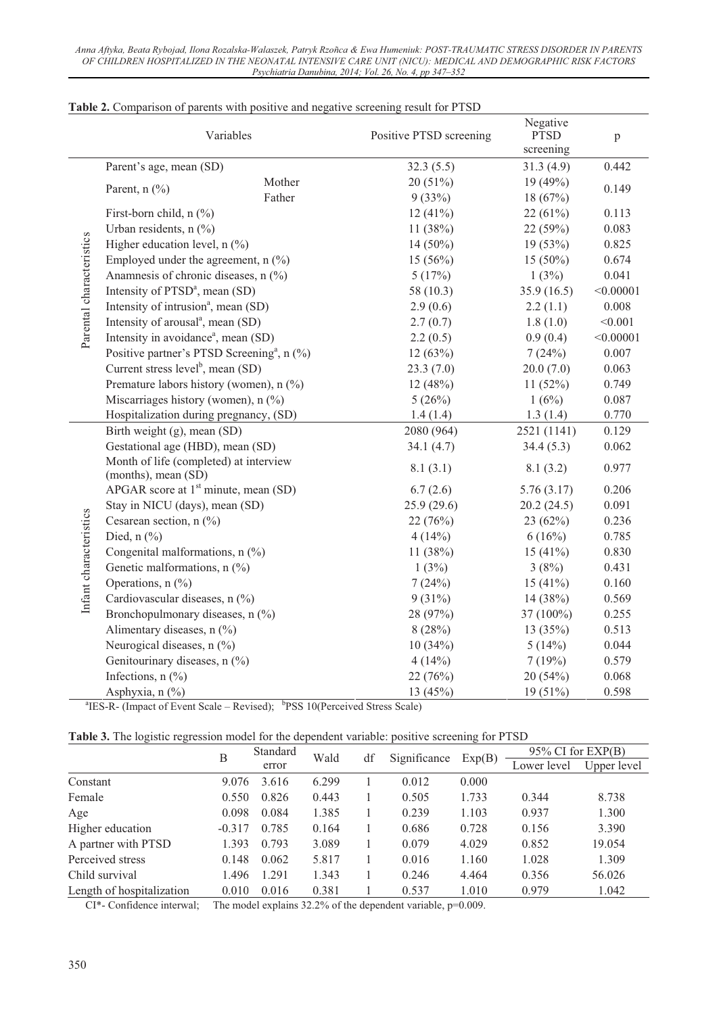| Variables                |                                                                                            | Positive PTSD screening         | Negative<br><b>PTSD</b><br>screening | $\rm p$     |           |
|--------------------------|--------------------------------------------------------------------------------------------|---------------------------------|--------------------------------------|-------------|-----------|
|                          | Parent's age, mean (SD)                                                                    |                                 | 32.3(5.5)                            | 31.3(4.9)   | 0.442     |
|                          |                                                                                            | Mother                          | 20(51%)                              | 19 (49%)    |           |
|                          | Parent, $n$ (%)                                                                            | Father                          | 9(33%)                               | 18 (67%)    | 0.149     |
|                          | First-born child, $n$ (%)                                                                  |                                 | 12(41%)                              | 22(61%)     | 0.113     |
|                          | Urban residents, $n$ (%)                                                                   |                                 | 11 $(38%)$                           | 22 (59%)    | 0.083     |
|                          | Higher education level, $n$ (%)                                                            |                                 | $14(50\%)$                           | 19 (53%)    | 0.825     |
|                          | Employed under the agreement, $n$ (%)                                                      |                                 | 15(56%)                              | $15(50\%)$  | 0.674     |
|                          | Anamnesis of chronic diseases, n (%)                                                       |                                 | 5(17%)                               | 1(3%)       | 0.041     |
|                          | Intensity of PTSD <sup>a</sup> , mean (SD)                                                 |                                 | 58(10.3)                             | 35.9(16.5)  | < 0.00001 |
|                          | Intensity of intrusion <sup>a</sup> , mean (SD)                                            |                                 | 2.9(0.6)                             | 2.2(1.1)    | 0.008     |
|                          | Intensity of arousal <sup>a</sup> , mean (SD)                                              |                                 | 2.7(0.7)                             | 1.8(1.0)    | < 0.001   |
| Parental characteristics | Intensity in avoidance <sup>a</sup> , mean (SD)                                            |                                 | 2.2(0.5)                             | 0.9(0.4)    | < 0.00001 |
|                          | Positive partner's PTSD Screening <sup>a</sup> , n (%)                                     |                                 | 12(63%)                              | 7(24%)      | 0.007     |
|                          | Current stress level <sup>b</sup> , mean $(SD)$                                            |                                 | 23.3(7.0)                            | 20.0(7.0)   | 0.063     |
|                          | Premature labors history (women), n (%)                                                    |                                 | 12(48%)                              | 11(52%)     | 0.749     |
|                          | Miscarriages history (women), n (%)                                                        |                                 | 5(26%)                               | 1(6%)       | 0.087     |
|                          | Hospitalization during pregnancy, (SD)                                                     |                                 | 1.4(1.4)                             | 1.3(1.4)    | 0.770     |
|                          | Birth weight (g), mean (SD)                                                                |                                 | 2080 (964)                           | 2521 (1141) | 0.129     |
|                          | Gestational age (HBD), mean (SD)                                                           |                                 | 34.1(4.7)                            | 34.4(5.3)   | 0.062     |
|                          | Month of life (completed) at interview<br>(months), mean (SD)                              |                                 | 8.1(3.1)                             | 8.1(3.2)    | 0.977     |
|                          | APGAR score at $1st$ minute, mean (SD)                                                     |                                 | 6.7(2.6)                             | 5.76(3.17)  | 0.206     |
|                          | Stay in NICU (days), mean (SD)                                                             |                                 | 25.9(29.6)                           | 20.2(24.5)  | 0.091     |
|                          | Cesarean section, $n$ (%)                                                                  |                                 | 22(76%)                              | 23(62%)     | 0.236     |
|                          | Died, $n$ $\left(\frac{9}{0}\right)$                                                       |                                 | 4(14%)                               | 6(16%)      | 0.785     |
|                          |                                                                                            | Congenital malformations, n (%) |                                      | 15 $(41\%)$ | 0.830     |
| Infant characteristics   | Genetic malformations, n (%)                                                               |                                 | 1(3%)                                | 3(8%)       | 0.431     |
|                          | Operations, $n$ (%)                                                                        |                                 | 7(24%)                               | 15 $(41\%)$ | 0.160     |
|                          | Cardiovascular diseases, n (%)                                                             |                                 | $9(31\%)$                            | 14 $(38%)$  | 0.569     |
|                          | Bronchopulmonary diseases, n (%)                                                           |                                 | 28 (97%)                             | 37 (100%)   | 0.255     |
|                          | Alimentary diseases, n (%)                                                                 |                                 | 8(28%)                               | 13 $(35%)$  | 0.513     |
|                          | Neurogical diseases, n (%)                                                                 |                                 | 10(34%)                              | 5(14%)      | 0.044     |
|                          | Genitourinary diseases, n (%)                                                              |                                 | 4(14%)                               | 7(19%)      | 0.579     |
|                          | Infections, $n$ $\left(\frac{0}{0}\right)$                                                 |                                 | 22(76%)                              | 20(54%)     | 0.068     |
|                          | Asphyxia, n (%)                                                                            |                                 | 13 $(45%)$                           | $19(51\%)$  | 0.598     |
|                          | ${}^{a}$ IES-R- (Impact of Event Scale – Revised); ${}^{b}$ PSS 10(Perceived Stress Scale) |                                 |                                      |             |           |

#### **Table 2.** Comparison of parents with positive and negative screening result for PTSD

|  |  |  | Table 3. The logistic regression model for the dependent variable: positive screening for PTSD |  |
|--|--|--|------------------------------------------------------------------------------------------------|--|

|                           | В        | Standard |       | Wald<br>df | Significance | Exp(B) | $95\%$ CI for EXP(B) |             |
|---------------------------|----------|----------|-------|------------|--------------|--------|----------------------|-------------|
|                           |          | error    |       |            |              |        | Lower level          | Upper level |
| Constant                  | 9.076    | 3.616    | 6.299 |            | 0.012        | 0.000  |                      |             |
| Female                    | 0.550    | 0.826    | 0.443 |            | 0.505        | 1.733  | 0.344                | 8.738       |
| Age                       | 0.098    | 0.084    | 1.385 |            | 0.239        | 1.103  | 0.937                | 1.300       |
| Higher education          | $-0.317$ | 0.785    | 0.164 |            | 0.686        | 0.728  | 0.156                | 3.390       |
| A partner with PTSD       | 1.393    | 0.793    | 3.089 |            | 0.079        | 4.029  | 0.852                | 19.054      |
| Perceived stress          | 0.148    | 0.062    | 5.817 |            | 0.016        | 1.160  | 1.028                | 1.309       |
| Child survival            | 1.496    | 1.291    | 1.343 |            | 0.246        | 4.464  | 0.356                | 56.026      |
| Length of hospitalization | 0.010    | 0.016    | 0.381 |            | 0.537        | 1.010  | 0.979                | 1.042       |

CI\*- Confidence interwal; The model explains 32.2% of the dependent variable, p=0.009.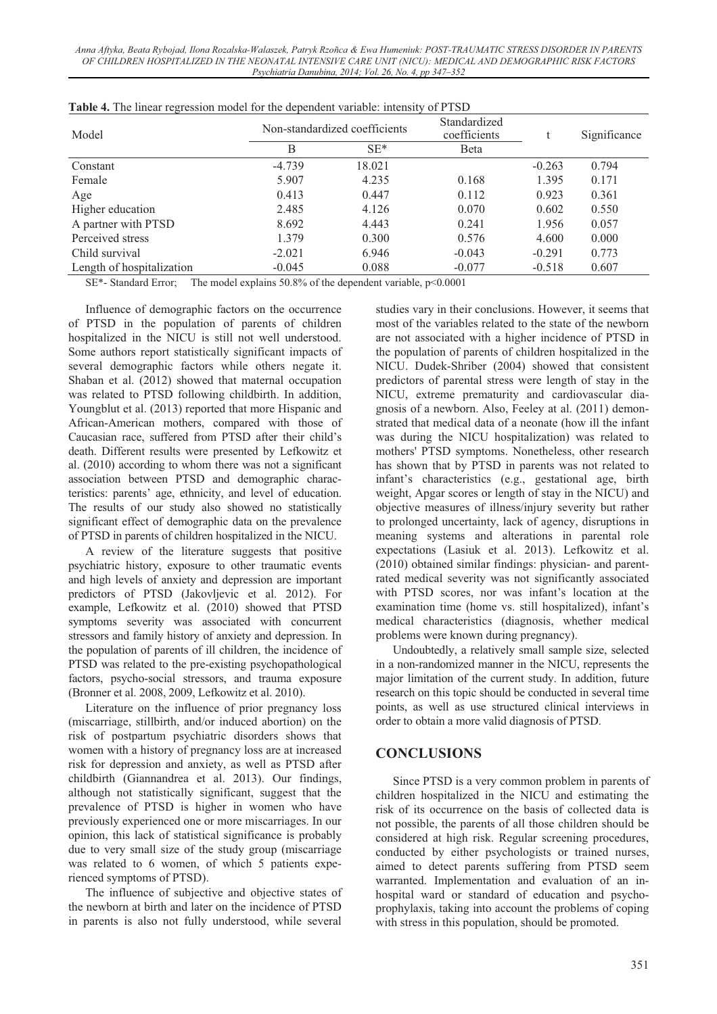*Anna Aftyka, Beata Rybojad, Ilona Rozalska-Walaszek, Patryk Rzoñca & Ewa Humeniuk: POST-TRAUMATIC STRESS DISORDER IN PARENTS OF CHILDREN HOSPITALIZED IN THE NEONATAL INTENSIVE CARE UNIT (NICU): MEDICAL AND DEMOGRAPHIC RISK FACTORS Psychiatria Danubina, 2014; Vol. 26, No. 4, pp 347–352* 

| Model                     |          | Non-standardized coefficients | Standardized<br>coefficients |          | Significance |
|---------------------------|----------|-------------------------------|------------------------------|----------|--------------|
|                           | B        | $SE*$                         | <b>B</b> eta                 |          |              |
| Constant                  | $-4.739$ | 18.021                        |                              | $-0.263$ | 0.794        |
| Female                    | 5.907    | 4.235                         | 0.168                        | 1.395    | 0.171        |
| Age                       | 0.413    | 0.447                         | 0.112                        | 0.923    | 0.361        |
| Higher education          | 2.485    | 4.126                         | 0.070                        | 0.602    | 0.550        |
| A partner with PTSD       | 8.692    | 4.443                         | 0.241                        | 1.956    | 0.057        |
| Perceived stress          | 1.379    | 0.300                         | 0.576                        | 4.600    | 0.000        |
| Child survival            | $-2.021$ | 6.946                         | $-0.043$                     | $-0.291$ | 0.773        |
| Length of hospitalization | $-0.045$ | 0.088                         | $-0.077$                     | $-0.518$ | 0.607        |

|  | Table 4. The linear regression model for the dependent variable: intensity of PTSD |  |  |  |
|--|------------------------------------------------------------------------------------|--|--|--|
|  |                                                                                    |  |  |  |

SE\*- Standard Error; The model explains 50.8% of the dependent variable, p<0.0001

Influence of demographic factors on the occurrence of PTSD in the population of parents of children hospitalized in the NICU is still not well understood. Some authors report statistically significant impacts of several demographic factors while others negate it. Shaban et al. (2012) showed that maternal occupation was related to PTSD following childbirth. In addition, Youngblut et al. (2013) reported that more Hispanic and African-American mothers, compared with those of Caucasian race, suffered from PTSD after their child's death. Different results were presented by Lefkowitz et al. (2010) according to whom there was not a significant association between PTSD and demographic characteristics: parents' age, ethnicity, and level of education. The results of our study also showed no statistically significant effect of demographic data on the prevalence of PTSD in parents of children hospitalized in the NICU.

A review of the literature suggests that positive psychiatric history, exposure to other traumatic events and high levels of anxiety and depression are important predictors of PTSD (Jakovljevic et al. 2012). For example, Lefkowitz et al. (2010) showed that PTSD symptoms severity was associated with concurrent stressors and family history of anxiety and depression. In the population of parents of ill children, the incidence of PTSD was related to the pre-existing psychopathological factors, psycho-social stressors, and trauma exposure (Bronner et al. 2008, 2009, Lefkowitz et al. 2010).

Literature on the influence of prior pregnancy loss (miscarriage, stillbirth, and/or induced abortion) on the risk of postpartum psychiatric disorders shows that women with a history of pregnancy loss are at increased risk for depression and anxiety, as well as PTSD after childbirth (Giannandrea et al. 2013). Our findings, although not statistically significant, suggest that the prevalence of PTSD is higher in women who have previously experienced one or more miscarriages. In our opinion, this lack of statistical significance is probably due to very small size of the study group (miscarriage was related to 6 women, of which 5 patients experienced symptoms of PTSD).

The influence of subjective and objective states of the newborn at birth and later on the incidence of PTSD in parents is also not fully understood, while several

studies vary in their conclusions. However, it seems that most of the variables related to the state of the newborn are not associated with a higher incidence of PTSD in the population of parents of children hospitalized in the NICU. Dudek-Shriber (2004) showed that consistent predictors of parental stress were length of stay in the NICU, extreme prematurity and cardiovascular diagnosis of a newborn. Also, Feeley at al. (2011) demonstrated that medical data of a neonate (how ill the infant was during the NICU hospitalization) was related to mothers' PTSD symptoms. Nonetheless, other research has shown that by PTSD in parents was not related to infant's characteristics (e.g., gestational age, birth weight, Apgar scores or length of stay in the NICU) and objective measures of illness/injury severity but rather to prolonged uncertainty, lack of agency, disruptions in meaning systems and alterations in parental role expectations (Lasiuk et al. 2013). Lefkowitz et al. (2010) obtained similar findings: physician- and parentrated medical severity was not significantly associated with PTSD scores, nor was infant's location at the examination time (home vs. still hospitalized), infant's medical characteristics (diagnosis, whether medical problems were known during pregnancy).

Undoubtedly, a relatively small sample size, selected in a non-randomized manner in the NICU, represents the major limitation of the current study. In addition, future research on this topic should be conducted in several time points, as well as use structured clinical interviews in order to obtain a more valid diagnosis of PTSD.

# **CONCLUSIONS**

Since PTSD is a very common problem in parents of children hospitalized in the NICU and estimating the risk of its occurrence on the basis of collected data is not possible, the parents of all those children should be considered at high risk. Regular screening procedures, conducted by either psychologists or trained nurses, aimed to detect parents suffering from PTSD seem warranted. Implementation and evaluation of an inhospital ward or standard of education and psychoprophylaxis, taking into account the problems of coping with stress in this population, should be promoted.